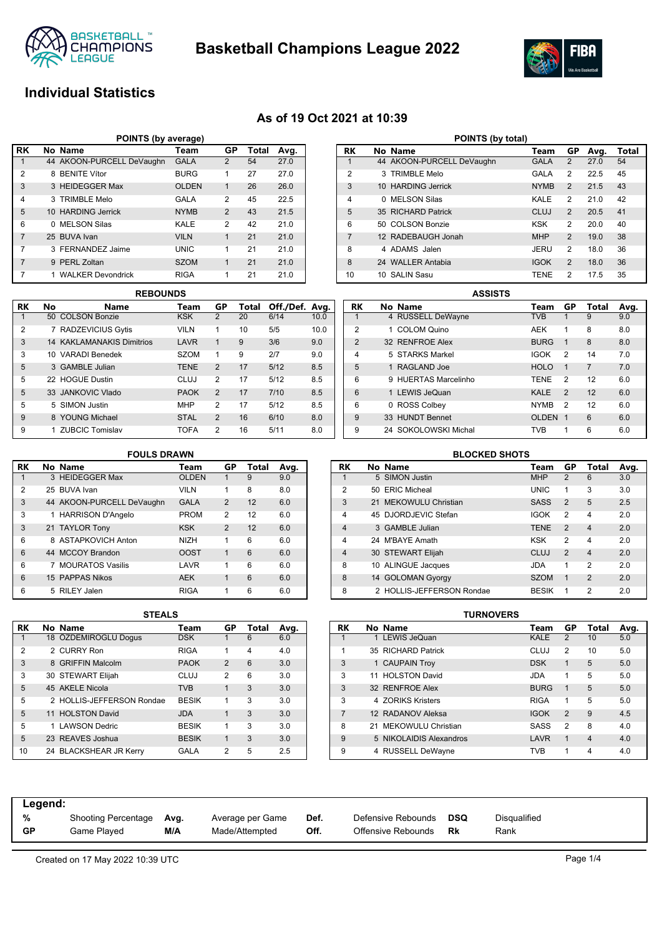

**Basketball Champions League 2022**



# **Individual Statistics**

### **As of 19 Oct 2021 at 10:39**

| POINTS (by average) |              |                           |              |                |       |      |  |  |  |  |
|---------------------|--------------|---------------------------|--------------|----------------|-------|------|--|--|--|--|
| <b>RK</b>           |              | No Name                   | Team         | GP             | Total | Avg. |  |  |  |  |
|                     |              | 44 AKOON-PURCELL DeVaughn | <b>GALA</b>  | 2              | 54    | 27.0 |  |  |  |  |
| 2                   |              | 8 BENITE Vítor            | <b>BURG</b>  | 1              | 27    | 27.0 |  |  |  |  |
| 3                   |              | 3 HEIDEGGER Max           | <b>OLDEN</b> | 1              | 26    | 26.0 |  |  |  |  |
| 4                   |              | 3 TRIMBLE Melo            | GALA         | 2              | 45    | 22.5 |  |  |  |  |
| 5                   |              | 10 HARDING Jerrick        | <b>NYMB</b>  | $\mathfrak{p}$ | 43    | 21.5 |  |  |  |  |
| 6                   | <sup>n</sup> | <b>MELSON Silas</b>       | KALE         | 2              | 42    | 21.0 |  |  |  |  |
| $\overline{7}$      |              | 25 BUVA Ivan              | <b>VILN</b>  | 1              | 21    | 21.0 |  |  |  |  |
| 7                   |              | 3 FERNANDEZ Jaime         | <b>UNIC</b>  | 1              | 21    | 21.0 |  |  |  |  |
| 7                   |              | 9 PERL Zoltan             | <b>SZOM</b>  | 1              | 21    | 21.0 |  |  |  |  |
| 7                   |              | <b>WALKER Devondrick</b>  | <b>RIGA</b>  | 1              | 21    | 21.0 |  |  |  |  |

|                | <b>REBOUNDS</b> |                                  |             |                |       |                |      |  |  |  |
|----------------|-----------------|----------------------------------|-------------|----------------|-------|----------------|------|--|--|--|
| RK             | No              | Name                             | Team        | GP             | Total | Off./Def. Avg. |      |  |  |  |
|                |                 | 50 COLSON Bonzie                 | <b>KSK</b>  | 2              | 20    | 6/14           | 10.0 |  |  |  |
| $\overline{2}$ |                 | 7 RADZEVICIUS Gytis              | <b>VILN</b> | 1              | 10    | 5/5            | 10.0 |  |  |  |
| 3              |                 | <b>14 KAKLAMANAKIS Dimitrios</b> | <b>LAVR</b> | $\mathbf 1$    | 9     | 3/6            | 9.0  |  |  |  |
| 3              |                 | 10 VARADI Benedek                | <b>SZOM</b> | 1              | 9     | 2/7            | 9.0  |  |  |  |
| 5              |                 | 3 GAMBLE Julian                  | <b>TENE</b> | $\mathcal{P}$  | 17    | 5/12           | 8.5  |  |  |  |
| 5              |                 | 22 HOGUE Dustin                  | CLUJ        | 2              | 17    | 5/12           | 8.5  |  |  |  |
| 5              |                 | 33 JANKOVIC Vlado                | <b>PAOK</b> | $\mathcal{P}$  | 17    | 7/10           | 8.5  |  |  |  |
| 5              |                 | 5 SIMON Justin                   | <b>MHP</b>  | $\overline{2}$ | 17    | 5/12           | 8.5  |  |  |  |
| 9              |                 | 8 YOUNG Michael                  | <b>STAL</b> | $\overline{2}$ | 16    | 6/10           | 8.0  |  |  |  |
| 9              |                 | 1 ZUBCIC Tomislav                | <b>TOFA</b> | 2              | 16    | 5/11           | 8.0  |  |  |  |

| POINTS (by total) |              |                           |             |                |      |       |  |  |  |
|-------------------|--------------|---------------------------|-------------|----------------|------|-------|--|--|--|
| RK                |              | No Name                   | Team        | GP             | Avg. | Total |  |  |  |
| 1                 |              | 44 AKOON-PURCELL DeVaughn | <b>GALA</b> | 2              | 27.0 | 54    |  |  |  |
| $\overline{2}$    |              | 3 TRIMBLE Melo            | GALA        | $\overline{2}$ | 22.5 | 45    |  |  |  |
| 3                 |              | 10 HARDING Jerrick        | <b>NYMB</b> | $\mathfrak{p}$ | 21.5 | 43    |  |  |  |
| $\overline{4}$    | <sup>n</sup> | <b>MELSON Silas</b>       | KALE        | $\overline{2}$ | 21.0 | 42    |  |  |  |
| 5                 |              | 35 RICHARD Patrick        | CLUJ        | 2              | 20.5 | 41    |  |  |  |
| 6                 |              | 50 COLSON Bonzie          | <b>KSK</b>  | $\overline{2}$ | 20.0 | 40    |  |  |  |
| $\overline{7}$    |              | 12 RADEBAUGH Jonah        | <b>MHP</b>  | 2              | 19.0 | 38    |  |  |  |
| 8                 | 4            | ADAMS Jalen               | JERU        | $\mathfrak{p}$ | 18.0 | 36    |  |  |  |
| 8                 |              | 24 WALLER Antabia         | <b>IGOK</b> | 2              | 18.0 | 36    |  |  |  |
| 10                | 10           | SALIN Sasu                | <b>TENE</b> | $\overline{2}$ | 17.5 | 35    |  |  |  |

|                | <b>ASSISTS</b>       |              |               |                |      |
|----------------|----------------------|--------------|---------------|----------------|------|
| RK             | No Name              | Team         | GP            | Total          | Avg. |
| 1              | 4 RUSSELL DeWayne    | <b>TVB</b>   | 1             | 9              | 9.0  |
| $\overline{2}$ | 1 COLOM Quino        | <b>AEK</b>   | 1             | 8              | 8.0  |
| $\mathcal{P}$  | 32 RENFROE Alex      | <b>BURG</b>  | $\mathbf 1$   | 8              | 8.0  |
| 4              | 5 STARKS Markel      | <b>IGOK</b>  | 2             | 14             | 7.0  |
| 5              | 1 RAGLAND Joe        | <b>HOLO</b>  | 1             | $\overline{7}$ | 7.0  |
| 6              | 9 HUERTAS Marcelinho | <b>TENE</b>  | $\mathcal{P}$ | 12             | 6.0  |
| 6              | 1 LEWIS JeQuan       | <b>KALE</b>  | $\mathcal{P}$ | 12             | 6.0  |
| 6              | 0 ROSS Colbey        | <b>NYMB</b>  | 2             | 12             | 6.0  |
| 9              | 33 HUNDT Bennet      | <b>OLDEN</b> | $\mathbf 1$   | 6              | 6.0  |
| 9              | 24 SOKOLOWSKI Michal | TVB          | 1             | 6              | 6.0  |

### **FOULS DRAWN**

| RK | No Name                   | Team         | GP             | Total | Avg. |
|----|---------------------------|--------------|----------------|-------|------|
| 1  | 3 HEIDEGGER Max           | <b>OLDEN</b> |                | 9     | 9.0  |
| 2  | 25 BUVA Ivan              | <b>VILN</b>  | 1              | 8     | 8.0  |
| 3  | 44 AKOON-PURCELL DeVaughn | <b>GALA</b>  | 2              | 12    | 6.0  |
| 3  | 1 HARRISON D'Angelo       | <b>PROM</b>  | 2              | 12    | 6.0  |
| 3  | 21 TAYLOR Tony            | <b>KSK</b>   | $\mathfrak{p}$ | 12    | 6.0  |
| 6  | 8 ASTAPKOVICH Anton       | <b>NIZH</b>  | 1              | 6     | 6.0  |
| 6  | 44 MCCOY Brandon          | <b>OOST</b>  | $\mathbf{1}$   | 6     | 6.0  |
| 6  | 7 MOURATOS Vasilis        | LAVR         | 1              | 6     | 6.0  |
| 6  | 15 PAPPAS Nikos           | <b>AEK</b>   | $\mathbf{1}$   | 6     | 6.0  |
| 6  | 5 RILEY Jalen             | <b>RIGA</b>  | 1              | 6     | 6.0  |

| <b>BLOCKED SHOTS</b> |  |                           |              |                |                         |      |  |  |  |  |
|----------------------|--|---------------------------|--------------|----------------|-------------------------|------|--|--|--|--|
| RK                   |  | No Name                   | Team         | GP             | Total                   | Avg. |  |  |  |  |
| $\mathbf 1$          |  | 5 SIMON Justin            | <b>MHP</b>   | $\overline{2}$ | 6                       | 3.0  |  |  |  |  |
| $\overline{2}$       |  | 50 FRIC Micheal           | <b>UNIC</b>  | 1              | 3                       | 3.0  |  |  |  |  |
| 3                    |  | 21 MEKOWULU Christian     | <b>SASS</b>  | $\overline{2}$ | 5                       | 2.5  |  |  |  |  |
| 4                    |  | 45 DJORDJEVIC Stefan      | <b>IGOK</b>  | $\overline{2}$ | 4                       | 2.0  |  |  |  |  |
| $\overline{4}$       |  | 3 GAMBLE Julian           | <b>TENE</b>  | $\mathcal{P}$  | $\overline{\mathbf{4}}$ | 2.0  |  |  |  |  |
| 4                    |  | 24 M'BAYF Amath           | <b>KSK</b>   | 2              | 4                       | 2.0  |  |  |  |  |
| $\overline{4}$       |  | 30 STEWART Elijah         | CLUJ         | $\overline{2}$ | $\overline{4}$          | 2.0  |  |  |  |  |
| 8                    |  | 10 ALINGUE Jacques        | JDA          | 1              | 2                       | 2.0  |  |  |  |  |
| 8                    |  | 14 GOLOMAN Gyorgy         | <b>SZOM</b>  | $\mathbf{1}$   | $\mathfrak{p}$          | 2.0  |  |  |  |  |
| 8                    |  | 2 HOLLIS-JEFFERSON Rondae | <b>BESIK</b> | 1              | $\overline{2}$          | 2.0  |  |  |  |  |

|                | ------ |                           |              |                |       |      |  |  |  |  |  |
|----------------|--------|---------------------------|--------------|----------------|-------|------|--|--|--|--|--|
| RK             |        | No Name                   | Team         | GP             | Total | Avg. |  |  |  |  |  |
| 1              |        | 18 ÖZDEMIROGLU Dogus      | <b>DSK</b>   |                | 6     | 6.0  |  |  |  |  |  |
| $\overline{2}$ |        | 2 CURRY Ron               | <b>RIGA</b>  | 1              | 4     | 4.0  |  |  |  |  |  |
| 3              |        | 8 GRIFFIN Malcolm         | <b>PAOK</b>  | $\overline{2}$ | 6     | 3.0  |  |  |  |  |  |
| 3              |        | 30 STEWART Elijah         | <b>CLUJ</b>  | 2              | 6     | 3.0  |  |  |  |  |  |
| 5              |        | 45 AKELE Nicola           | <b>TVB</b>   | 1              | 3     | 3.0  |  |  |  |  |  |
| 5              |        | 2 HOLLIS-JEFFERSON Rondae | <b>BESIK</b> | 1              | 3     | 3.0  |  |  |  |  |  |
| 5              |        | 11 HOLSTON David          | <b>JDA</b>   | $\mathbf{1}$   | 3     | 3.0  |  |  |  |  |  |
| 5              |        | 1 LAWSON Dedric           | <b>BESIK</b> | 1              | 3     | 3.0  |  |  |  |  |  |
| 5              |        | 23 REAVES Joshua          | <b>BESIK</b> | 1              | 3     | 3.0  |  |  |  |  |  |
| 10             |        | 24 BLACKSHEAR JR Kerry    | GALA         | 2              | 5     | 2.5  |  |  |  |  |  |

| STEALS |              |                |       |      |           |    | TURNOVERS               |             |                |                |      |
|--------|--------------|----------------|-------|------|-----------|----|-------------------------|-------------|----------------|----------------|------|
|        | Team         | GP             | Total | Avg. | <b>RK</b> |    | No Name                 | Team        | GP             | Total          | Avg. |
|        | <b>DSK</b>   |                | 6     | 6.0  |           |    | LEWIS JeQuan            | <b>KALE</b> | $\overline{2}$ | 10             | 5.0  |
|        | <b>RIGA</b>  |                | 4     | 4.0  |           |    | 35 RICHARD Patrick      | CLUJ        | $\overline{2}$ | 10             | 5.0  |
|        | <b>PAOK</b>  | $\overline{2}$ | 6     | 3.0  | 3         |    | 1 CAUPAIN Troy          | <b>DSK</b>  |                | 5              | 5.0  |
|        | <b>CLUJ</b>  | 2              | 6     | 3.0  | 3         |    | 11 HOLSTON David        | <b>JDA</b>  |                | 5              | 5.0  |
|        | <b>TVB</b>   |                | 3     | 3.0  | 3         |    | 32 RENFROE Alex         | <b>BURG</b> |                | 5              | 5.0  |
| ondae  | <b>BESIK</b> | 1.             | 3     | 3.0  | 3         |    | 4 ZORIKS Kristers       | <b>RIGA</b> |                | 5              | 5.0  |
|        | <b>JDA</b>   |                | 3     | 3.0  |           |    | 12 RADANOV Aleksa       | <b>IGOK</b> | $\mathfrak{p}$ | 9              | 4.5  |
|        | <b>BESIK</b> | 1              | 3     | 3.0  | 8         | 21 | MEKOWULU Christian      | <b>SASS</b> | $\overline{2}$ | 8              | 4.0  |
|        | <b>BESIK</b> | $\mathbf{1}$   | 3     | 3.0  | 9         |    | 5 NIKOLAIDIS Alexandros | LAVR        |                | $\overline{4}$ | 4.0  |
|        | <b>GALA</b>  | 2              | 5     | 2.5  | 9         |    | 4 RUSSELL DeWayne       | TVB         |                | 4              | 4.0  |
|        |              |                |       |      |           |    |                         |             |                |                |      |

| Legend: |                     |      |                  |      |                    |     |                     |
|---------|---------------------|------|------------------|------|--------------------|-----|---------------------|
| %       | Shooting Percentage | Avg. | Average per Game | Def. | Defensive Rebounds | DSQ | <b>Disqualified</b> |
| GP      | Game Plaved         | M/A  | Made/Attempted   | Off. | Offensive Rebounds | Rk  | Rank                |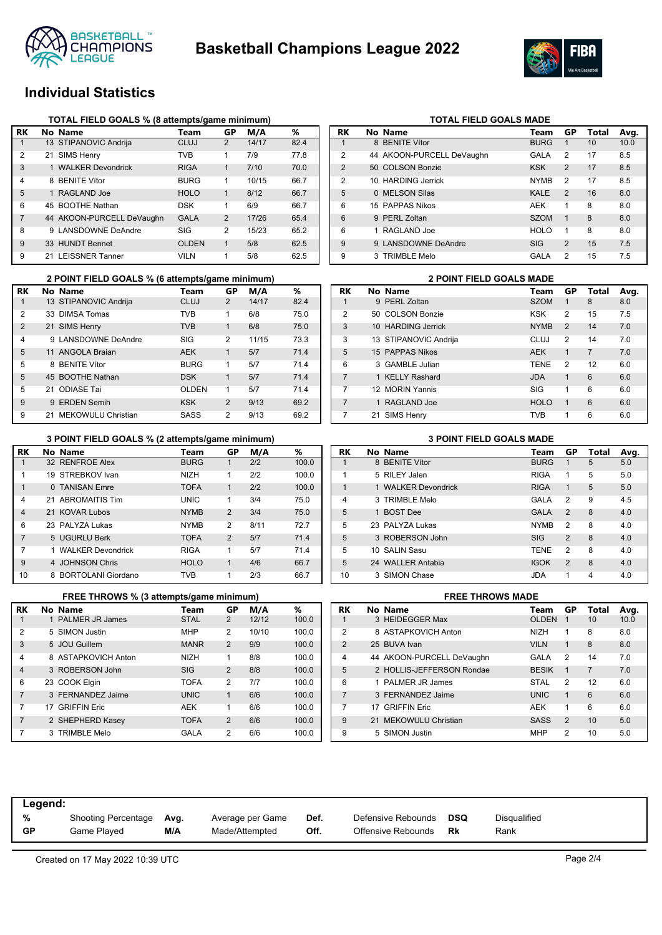



## **Individual Statistics**

|                | TOTAL FIELD GOALS % (8 attempts/game minimum) |                           |              |                |       |      |  |  |  |  |  |  |
|----------------|-----------------------------------------------|---------------------------|--------------|----------------|-------|------|--|--|--|--|--|--|
| RK             |                                               | No Name                   | Team         | GP             | M/A   | %    |  |  |  |  |  |  |
| 1              |                                               | 13 STIPANOVIC Andrija     | <b>CLUJ</b>  | $\overline{2}$ | 14/17 | 82.4 |  |  |  |  |  |  |
| 2              |                                               | 21 SIMS Henry             | TVB          | 1              | 7/9   | 77.8 |  |  |  |  |  |  |
| 3              |                                               | 1 WALKER Devondrick       | <b>RIGA</b>  | 1              | 7/10  | 70.0 |  |  |  |  |  |  |
| 4              |                                               | 8 BENITE Vítor            | <b>BURG</b>  | 1              | 10/15 | 66.7 |  |  |  |  |  |  |
| 5              |                                               | 1 RAGLAND Joe             | <b>HOLO</b>  | 1              | 8/12  | 66.7 |  |  |  |  |  |  |
| 6              |                                               | 45 BOOTHE Nathan          | <b>DSK</b>   | 1              | 6/9   | 66.7 |  |  |  |  |  |  |
| $\overline{7}$ |                                               | 44 AKOON-PURCELL DeVaughn | <b>GALA</b>  | $\overline{2}$ | 17/26 | 65.4 |  |  |  |  |  |  |
| 8              |                                               | 9 LANSDOWNE DeAndre       | SIG          | 2              | 15/23 | 65.2 |  |  |  |  |  |  |
| 9              |                                               | 33 HUNDT Bennet           | <b>OLDEN</b> | 1              | 5/8   | 62.5 |  |  |  |  |  |  |
| 9              |                                               | 21 LEISSNER Tanner        | <b>VILN</b>  | 1              | 5/8   | 62.5 |  |  |  |  |  |  |

|               | 2 POINT FIELD GOALS % (6 attempts/game minimum) |                       |              |                |       |      |  |  |  |  |  |
|---------------|-------------------------------------------------|-----------------------|--------------|----------------|-------|------|--|--|--|--|--|
| RK            |                                                 | No Name               | Team         | GP             | M/A   | ℅    |  |  |  |  |  |
| 1             |                                                 | 13 STIPANOVIC Andrija | <b>CLUJ</b>  | $\mathfrak{p}$ | 14/17 | 82.4 |  |  |  |  |  |
| $\mathcal{P}$ |                                                 | 33 DIMSA Tomas        | <b>TVB</b>   | 1              | 6/8   | 75.0 |  |  |  |  |  |
| $\mathcal{P}$ |                                                 | 21 SIMS Henry         | <b>TVB</b>   | 1              | 6/8   | 75.0 |  |  |  |  |  |
| 4             |                                                 | 9 LANSDOWNE DeAndre   | SIG          | 2              | 11/15 | 73.3 |  |  |  |  |  |
| 5             |                                                 | 11 ANGOLA Braian      | <b>AEK</b>   | 1              | 5/7   | 71.4 |  |  |  |  |  |
| 5             |                                                 | 8 BENITE Vítor        | <b>BURG</b>  | 1              | 5/7   | 71.4 |  |  |  |  |  |
| 5             |                                                 | 45 BOOTHE Nathan      | <b>DSK</b>   | 1              | 5/7   | 71.4 |  |  |  |  |  |
| 5             |                                                 | 21 ODIASE Tai         | <b>OLDEN</b> | 1              | 5/7   | 71.4 |  |  |  |  |  |
| 9             | 9                                               | <b>ERDEN Semih</b>    | <b>KSK</b>   | $\mathcal{P}$  | 9/13  | 69.2 |  |  |  |  |  |
| 9             |                                                 | 21 MEKOWULU Christian | SASS         | 2              | 9/13  | 69.2 |  |  |  |  |  |

# **TOTAL FIELD GOALS MADE**<br>RK No Name **Team**

| RK             | No Name                   | Team        | GP             | Total | Avg. |
|----------------|---------------------------|-------------|----------------|-------|------|
| 1              | 8 BENITE Vítor            | <b>BURG</b> | 1              | 10    | 10.0 |
| 2              | 44 AKOON-PURCELL DeVaughn | <b>GALA</b> | $\overline{2}$ | 17    | 8.5  |
| $\overline{2}$ | 50 COLSON Bonzie          | <b>KSK</b>  | 2              | 17    | 8.5  |
| 2              | 10 HARDING Jerrick        | <b>NYMB</b> | $\overline{2}$ | 17    | 8.5  |
| 5              | 0 MELSON Silas            | <b>KALE</b> | $\overline{2}$ | 16    | 8.0  |
| 6              | 15 PAPPAS Nikos           | <b>AEK</b>  | 1              | 8     | 8.0  |
| 6              | 9 PERL Zoltan             | <b>SZOM</b> | 1              | 8     | 8.0  |
| 6              | 1 RAGLAND Joe             | <b>HOLO</b> | 1              | 8     | 8.0  |
| 9              | 9 LANSDOWNE DeAndre       | <b>SIG</b>  | $\overline{2}$ | 15    | 7.5  |
| 9              | 3 TRIMBLE Melo            | GALA        | $\overline{2}$ | 15    | 7.5  |

| <b>2 POINT FIELD GOALS MADE</b> |     |                       |             |                |                |      |  |  |  |
|---------------------------------|-----|-----------------------|-------------|----------------|----------------|------|--|--|--|
| RK                              |     | No Name               | Team        | GP             | Total          | Avg. |  |  |  |
| 1                               |     | 9 PERL Zoltan         | <b>SZOM</b> | 1              | 8              | 8.0  |  |  |  |
| 2                               | 50. | <b>COLSON Bonzie</b>  | <b>KSK</b>  | 2              | 15             | 7.5  |  |  |  |
| 3                               |     | 10 HARDING Jerrick    | <b>NYMB</b> | $\mathfrak{p}$ | 14             | 7.0  |  |  |  |
| 3                               |     | 13 STIPANOVIC Andrija | CLUJ        | 2              | 14             | 7.0  |  |  |  |
| 5                               |     | 15 PAPPAS Nikos       | <b>AEK</b>  | 1              | $\overline{7}$ | 7.0  |  |  |  |
| 6                               |     | 3 GAMBLE Julian       | <b>TENE</b> | $\mathcal{P}$  | 12             | 6.0  |  |  |  |
| $\overline{7}$                  |     | 1 KFLLY Rashard       | <b>JDA</b>  | 1              | 6              | 6.0  |  |  |  |
| 7                               |     | 12 MORIN Yannis       | SIG         | 1              | 6              | 6.0  |  |  |  |
| $\overline{7}$                  | 1   | RAGLAND Joe           | <b>HOLO</b> | $\mathbf{1}$   | 6              | 6.0  |  |  |  |
| 7                               | 21  | <b>SIMS Henry</b>     | <b>TVB</b>  | 1              | 6              | 6.0  |  |  |  |

### **RK No Name Team GP M/A %** 1 32 RENFROE Alex BURG 1 2/2 100.0 1 19 STREBKOV Ivan NIZH 1 2/2 100.0 1 0 TANISAN Emre TOFA 1 2/2 100.0 4 21 ABROMAITIS Tim UNIC 1 3/4 75.0 4 21 KOVAR Lubos NYMB 2 3/4 75.0 6 23 PALYZA Lukas NYMB 2 8/11 72.7 7 5 UGURLU Berk TOFA 2 5/7 71.4 7 1 WALKER Devondrick RIGA 1 5/7 71.4 9 4 JOHNSON Chris HOLO 1 4/6 66.7 10 8 BORTOLANI Giordano TVB 1 2/3 66.7 **3 POINT FIELD GOALS % (2 attempts/game minimum)**

|                | FREE THROWS % (3 attempts/game minimum) |                     |             |                |       |       |  |  |  |  |
|----------------|-----------------------------------------|---------------------|-------------|----------------|-------|-------|--|--|--|--|
| RK             |                                         | No Name             | Team        | GP             | M/A   | %     |  |  |  |  |
| 1              |                                         | 1 PALMER JR James   | <b>STAL</b> | $\overline{2}$ | 12/12 | 100.0 |  |  |  |  |
| $\overline{2}$ |                                         | 5 SIMON Justin      | <b>MHP</b>  | 2              | 10/10 | 100.0 |  |  |  |  |
| 3              |                                         | 5 JOU Guillem       | <b>MANR</b> | 2              | 9/9   | 100.0 |  |  |  |  |
| $\overline{4}$ |                                         | 8 ASTAPKOVICH Anton | <b>NIZH</b> | 1              | 8/8   | 100.0 |  |  |  |  |
| $\overline{4}$ |                                         | 3 ROBERSON John     | <b>SIG</b>  | $\overline{2}$ | 8/8   | 100.0 |  |  |  |  |
| 6              |                                         | 23 COOK Elgin       | <b>TOFA</b> | $\overline{2}$ | 7/7   | 100.0 |  |  |  |  |
| $\overline{7}$ |                                         | 3 FERNANDEZ Jaime   | <b>UNIC</b> | $\mathbf{1}$   | 6/6   | 100.0 |  |  |  |  |
| 7              |                                         | 17 GRIFFIN Eric     | AEK         | 1              | 6/6   | 100.0 |  |  |  |  |
| $\overline{7}$ |                                         | 2 SHEPHERD Kasey    | <b>TOFA</b> | 2              | 6/6   | 100.0 |  |  |  |  |
| 7              |                                         | 3 TRIMBLE Melo      | GALA        | 2              | 6/6   | 100.0 |  |  |  |  |

|  | <b>3 POINT FIELD GOALS MADE</b> |  |
|--|---------------------------------|--|
|  |                                 |  |

| RK             | No Name             | Team        | GP             | Total | Avg. |
|----------------|---------------------|-------------|----------------|-------|------|
| 1              | 8 BENITE Vítor      | <b>BURG</b> | 1              | 5     | 5.0  |
| 1              | 5 RILEY Jalen       | <b>RIGA</b> | 1              | 5     | 5.0  |
| 1              | 1 WALKER Devondrick | <b>RIGA</b> | $\mathbf{1}$   | 5     | 5.0  |
| $\overline{4}$ | 3 TRIMBLE Melo      | GALA        | $\overline{2}$ | 9     | 4.5  |
| 5              | 1 BOST Dee          | <b>GALA</b> | 2              | 8     | 4.0  |
| 5              | 23 PALYZA Lukas     | <b>NYMB</b> | 2              | 8     | 4.0  |
| 5              | 3 ROBERSON John     | <b>SIG</b>  | $\overline{2}$ | 8     | 4.0  |
| 5              | 10 SALIN Sasu       | <b>TENE</b> | 2              | 8     | 4.0  |
| 5              | 24 WALLER Antabia   | <b>IGOK</b> | $\overline{2}$ | 8     | 4.0  |
| 10             | 3 SIMON Chase       | JDA         | 1              | 4     | 4.0  |

|                | <b>FREE THROWS MADE</b> |                           |                   |                |                |      |  |  |  |  |
|----------------|-------------------------|---------------------------|-------------------|----------------|----------------|------|--|--|--|--|
| RK             |                         | No Name                   | Team              | <b>GP</b>      | Total          | Avg. |  |  |  |  |
| 1              |                         | 3 HEIDEGGER Max           | <b>OLDEN</b>      | 1              | 10             | 10.0 |  |  |  |  |
| 2              |                         | 8 ASTAPKOVICH Anton       | NI <sub>7</sub> H | 1              | 8              | 8.0  |  |  |  |  |
| $\mathcal{P}$  |                         | 25 BUVA Ivan              | <b>VILN</b>       | 1              | 8              | 8.0  |  |  |  |  |
| 4              |                         | 44 AKOON-PURCELL DeVaughn | GALA              | $\mathcal{P}$  | 14             | 7.0  |  |  |  |  |
| 5              |                         | 2 HOLLIS-JEFFERSON Rondae | <b>BESIK</b>      | $\mathbf{1}$   | $\overline{7}$ | 7.0  |  |  |  |  |
| 6              |                         | 1 PALMER JR James         | <b>STAL</b>       | $\mathfrak{p}$ | 12             | 6.0  |  |  |  |  |
| $\overline{7}$ |                         | 3 FERNANDEZ Jaime         | <b>UNIC</b>       | 1              | 6              | 6.0  |  |  |  |  |
| 7              | 17                      | <b>GRIFFIN Fric</b>       | <b>AFK</b>        | 1              | 6              | 6.0  |  |  |  |  |
| 9              |                         | 21 MEKOWULU Christian     | <b>SASS</b>       | $\mathfrak{p}$ | 10             | 5.0  |  |  |  |  |
| 9              |                         | 5 SIMON Justin            | <b>MHP</b>        | 2              | 10             | 5.0  |  |  |  |  |

| Legend:   |                     |      |                  |      |                    |     |              |
|-----------|---------------------|------|------------------|------|--------------------|-----|--------------|
| %         | Shooting Percentage | Avg. | Average per Game | Def. | Defensive Rebounds | DSQ | Disqualified |
| <b>GP</b> | Game Plaved         | M/A  | Made/Attempted   | Off. | Offensive Rebounds | Rk  | Rank         |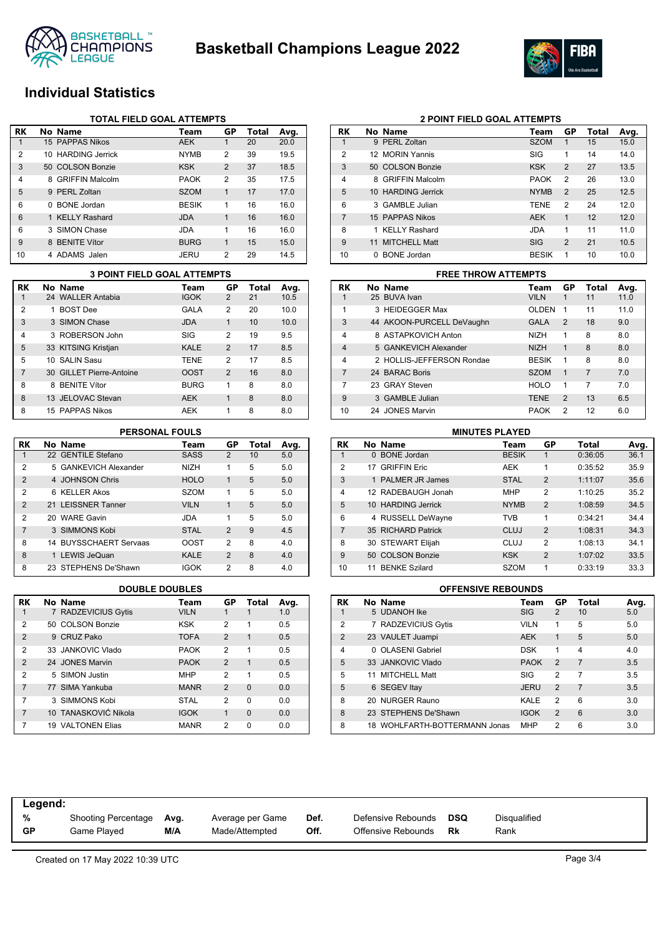



## **Individual Statistics**

|                | TOTAL FIELD GOAL ATTEMPTS |                    |              |                |       |      |  |  |  |
|----------------|---------------------------|--------------------|--------------|----------------|-------|------|--|--|--|
| RK             |                           | No Name            | Team         | GP             | Total | Avg. |  |  |  |
|                |                           | 15 PAPPAS Nikos    | <b>AEK</b>   |                | 20    | 20.0 |  |  |  |
| $\overline{2}$ |                           | 10 HARDING Jerrick | <b>NYMB</b>  | 2              | 39    | 19.5 |  |  |  |
| 3              |                           | 50 COLSON Bonzie   | <b>KSK</b>   | 2              | 37    | 18.5 |  |  |  |
| 4              |                           | 8 GRIFFIN Malcolm  | <b>PAOK</b>  | 2              | 35    | 17.5 |  |  |  |
| 5              |                           | 9 PERL Zoltan      | <b>SZOM</b>  | 1              | 17    | 17.0 |  |  |  |
| 6              |                           | 0 BONE Jordan      | <b>BESIK</b> | 1              | 16    | 16.0 |  |  |  |
| 6              |                           | 1 KELLY Rashard    | <b>JDA</b>   | 1              | 16    | 16.0 |  |  |  |
| 6              |                           | 3 SIMON Chase      | <b>JDA</b>   | 1              | 16    | 16.0 |  |  |  |
| 9              |                           | 8 BENITE Vítor     | <b>BURG</b>  | 1              | 15    | 15.0 |  |  |  |
| 10             |                           | 4 ADAMS Jalen      | <b>JERU</b>  | $\overline{2}$ | 29    | 14.5 |  |  |  |

|                | <b>3 POINT FIELD GOAL ATTEMPTS</b> |             |                |       |      |    | <b>FREE THROW ATTEMPTS</b> |             |
|----------------|------------------------------------|-------------|----------------|-------|------|----|----------------------------|-------------|
| <b>RK</b>      | No Name                            | Team        | GP             | Total | Avg. | RK | No Name                    | Tea         |
|                | 24 WALLER Antabia                  | <b>IGOK</b> | $\overline{2}$ | 21    | 10.5 |    | 25 BUVA Ivan               | <b>VILN</b> |
| $\overline{2}$ | <b>BOST Dee</b>                    | GALA        | 2              | 20    | 10.0 |    | 3 HEIDEGGER Max            | <b>OLD</b>  |
| 3              | 3 SIMON Chase                      | <b>JDA</b>  | 1              | 10    | 10.0 | 3  | 44 AKOON-PURCELL DeVaughn  | GAL         |
| 4              | 3 ROBERSON John                    | <b>SIG</b>  | 2              | 19    | 9.5  | 4  | 8 ASTAPKOVICH Anton        | <b>NIZF</b> |
| 5              | 33 KITSING Kristjan                | <b>KALE</b> | $\overline{2}$ | 17    | 8.5  | 4  | 5 GANKEVICH Alexander      | <b>NIZF</b> |
| 5              | 10 SALIN Sasu                      | <b>TENE</b> | 2              | 17    | 8.5  | 4  | 2 HOLLIS-JEFFERSON Rondae  | <b>BES</b>  |
| $\overline{7}$ | 30 GILLET Pierre-Antoine           | <b>OOST</b> | 2              | 16    | 8.0  |    | 24 BARAC Boris             | <b>SZO</b>  |
| 8              | 8 BENITE Vítor                     | <b>BURG</b> |                | 8     | 8.0  |    | 23 GRAY Steven             | HOL         |
| 8              | 13 JELOVAC Stevan                  | <b>AEK</b>  |                | 8     | 8.0  | 9  | 3 GAMBLE Julian            | <b>TEN</b>  |
| 8              | 15 PAPPAS Nikos                    | AEK         |                | 8     | 8.0  | 10 | 24 JONES Marvin            | <b>PAO</b>  |

| RK             | No Name                | Team        | GP             | Total | Avg. |
|----------------|------------------------|-------------|----------------|-------|------|
| 1              | 22 GENTILE Stefano     | <b>SASS</b> | 2              | 10    | 5.0  |
| 2              | 5 GANKEVICH Alexander  | <b>NIZH</b> | 1              | 5     | 5.0  |
| $\mathfrak{p}$ | 4 JOHNSON Chris        | <b>HOLO</b> | 1              | 5     | 5.0  |
| 2              | 6 KELLER Akos          | <b>SZOM</b> | 1              | 5     | 5.0  |
| $\mathfrak{p}$ | 21 LEISSNER Tanner     | <b>VILN</b> | $\mathbf{1}$   | 5     | 5.0  |
| 2              | 20 WARE Gavin          | JDA         | 1              | 5     | 5.0  |
| 7              | 3 SIMMONS Kobi         | <b>STAL</b> | 2              | 9     | 4.5  |
| 8              | 14 BUYSSCHAERT Servaas | OOST        | $\overline{2}$ | 8     | 4.0  |
| 8              | 1 LEWIS JeQuan         | <b>KALE</b> | $\mathfrak{p}$ | 8     | 4.0  |
| 8              | 23 STEPHENS De'Shawn   | IGOK        | 2              | 8     | 4.0  |

| RK             | No Name              | Team        | GP             | Total    | Avg. |
|----------------|----------------------|-------------|----------------|----------|------|
| 1              | 7 RADZEVICIUS Gytis  | VILN        |                |          | 1.0  |
| 2              | 50 COLSON Bonzie     | <b>KSK</b>  | 2              | 1        | 0.5  |
| $\overline{2}$ | 9 CRUZ Pako          | <b>TOFA</b> | $\mathfrak{p}$ | 1        | 0.5  |
| 2              | 33 JANKOVIC Vlado    | <b>PAOK</b> | 2              | 1        | 0.5  |
| $\mathfrak{p}$ | 24 JONES Marvin      | <b>PAOK</b> | $\mathcal{P}$  | 1        | 0.5  |
| 2              | 5 SIMON Justin       | <b>MHP</b>  | $\mathfrak{p}$ | 1        | 0.5  |
| 7              | 77 SIMA Yankuba      | <b>MANR</b> | $\mathcal{P}$  | $\Omega$ | 0.0  |
| 7              | 3 SIMMONS Kobi       | <b>STAL</b> | 2              | $\Omega$ | 0.0  |
| 7              | 10 TANASKOVIĆ Nikola | <b>IGOK</b> | 1              | $\Omega$ | 0.0  |
| 7              | 19 VALTONEN Elias    | <b>MANR</b> | 2              | 0        | 0.0  |

| RK             | No Name                            | Team         | GP             | Total | Avg. |
|----------------|------------------------------------|--------------|----------------|-------|------|
| 1              | 9 PERL Zoltan                      | <b>SZOM</b>  | 1              | 15    | 15.0 |
| 2              | 12 MORIN Yannis                    | SIG          | 1              | 14    | 14.0 |
| 3              | 50 COLSON Bonzie                   | <b>KSK</b>   | 2              | 27    | 13.5 |
| 4              | <b>GRIFFIN Malcolm</b><br>8        | <b>PAOK</b>  | 2              | 26    | 13.0 |
| 5              | 10 HARDING Jerrick                 | <b>NYMB</b>  | 2              | 25    | 12.5 |
| 6              | 3 GAMBLE Julian                    | <b>TENE</b>  | $\overline{2}$ | 24    | 12.0 |
| $\overline{7}$ | 15 PAPPAS Nikos                    | <b>AEK</b>   | 1              | 12    | 12.0 |
| 8              | <b>KELLY Rashard</b>               | <b>JDA</b>   | 1              | 11    | 11.0 |
| 9              | <b>MITCHELL Matt</b><br>11         | SIG          | $\overline{2}$ | 21    | 10.5 |
| 10             | <b>BONE</b> Jordan<br><sup>n</sup> | <b>BESIK</b> | 1              | 10    | 10.0 |

**2 POINT FIELD GOAL ATTEMPTS**

|                | <b>FREE THROW ATTEMPTS</b> |                           |              |               |                |      |  |  |  |  |
|----------------|----------------------------|---------------------------|--------------|---------------|----------------|------|--|--|--|--|
| RK             |                            | No Name                   | Team         | GP            | Total          | Avg. |  |  |  |  |
|                |                            | 25 BUVA Ivan              | <b>VILN</b>  | 1             | 11             | 11.0 |  |  |  |  |
| 1              |                            | 3 HEIDEGGER Max           | <b>OLDEN</b> | 1             | 11             | 11.0 |  |  |  |  |
| 3              |                            | 44 AKOON-PURCELL DeVaughn | <b>GALA</b>  | $\mathcal{P}$ | 18             | 9.0  |  |  |  |  |
| $\overline{4}$ |                            | 8 ASTAPKOVICH Anton       | <b>NIZH</b>  | 1             | 8              | 8.0  |  |  |  |  |
| $\overline{4}$ |                            | 5 GANKEVICH Alexander     | <b>NIZH</b>  | 1             | 8              | 8.0  |  |  |  |  |
| 4              |                            | 2 HOLLIS-JEFFERSON Rondae | <b>BESIK</b> | 1             | 8              | 8.0  |  |  |  |  |
| $\overline{7}$ |                            | 24 BARAC Boris            | <b>SZOM</b>  | 1             | $\overline{7}$ | 7.0  |  |  |  |  |
| 7              |                            | 23 GRAY Steven            | <b>HOLO</b>  | 1             | 7              | 7.0  |  |  |  |  |
| 9              |                            | 3 GAMBLE Julian           | <b>TENE</b>  | $\mathcal{P}$ | 13             | 6.5  |  |  |  |  |
| 10             |                            | 24 JONES Marvin           | <b>PAOK</b>  | 2             | 12             | 6.0  |  |  |  |  |

### **PERSONAL FOULS MINUTES PLAYED**

| RK             | No Name              | Team         | GP             | Total   | Avg. |
|----------------|----------------------|--------------|----------------|---------|------|
|                | 0 BONE Jordan        | <b>BESIK</b> | 1              | 0:36:05 | 36.1 |
| $\overline{2}$ | 17 GRIFFIN Eric      | <b>AEK</b>   | 1              | 0:35:52 | 35.9 |
| 3              | 1 PALMER JR James    | <b>STAL</b>  | $\overline{2}$ | 1:11:07 | 35.6 |
| $\overline{4}$ | 12 RADEBAUGH Jonah   | <b>MHP</b>   | $\overline{2}$ | 1:10:25 | 35.2 |
| 5              | 10 HARDING Jerrick   | <b>NYMB</b>  | $\overline{2}$ | 1:08:59 | 34.5 |
| 6              | 4 RUSSELL DeWayne    | <b>TVB</b>   | 1              | 0:34:21 | 34.4 |
| $\overline{7}$ | 35 RICHARD Patrick   | <b>CLUJ</b>  | $\mathfrak{p}$ | 1:08:31 | 34.3 |
| 8              | 30 STEWART Elijah    | CLUJ         | $\overline{2}$ | 1:08:13 | 34.1 |
| 9              | 50 COLSON Bonzie     | <b>KSK</b>   | $\overline{2}$ | 1:07:02 | 33.5 |
| 10             | <b>BENKE Szilard</b> | <b>SZOM</b>  | 1              | 0:33:19 | 33.3 |

### **DOUBLE DOUBLES OFFENSIVE REBOUNDS**

| <b>RK</b>      |   | No Name                       | Team        | GP             | Total | Avg. |
|----------------|---|-------------------------------|-------------|----------------|-------|------|
|                |   | 5 UDANOH Ike                  | <b>SIG</b>  | 2              | 10    | 5.0  |
| $\mathcal{P}$  |   | 7 RADZEVICIUS Gytis           | <b>VILN</b> | 1              | 5     | 5.0  |
| $\overline{2}$ |   | 23 VAULET Juampi              | <b>AEK</b>  | 1              | 5     | 5.0  |
| $\overline{4}$ | 0 | <b>OLASENI Gabriel</b>        | <b>DSK</b>  | 1              | 4     | 4.0  |
| 5              |   | 33 JANKOVIC Vlado             | <b>PAOK</b> | $\overline{2}$ | 7     | 3.5  |
| 5              |   | 11 MITCHELL Matt              | SIG         | $\overline{2}$ | 7     | 3.5  |
| 5              |   | 6 SEGEV Itay                  | <b>JERU</b> | $\overline{2}$ | 7     | 3.5  |
| 8              |   | 20 NURGER Rauno               | KALE        | $\mathcal{P}$  | 6     | 3.0  |
| 8              |   | 23 STEPHENS De'Shawn          | <b>IGOK</b> | 2              | 6     | 3.0  |
| 8              |   | 18 WOHLFARTH-BOTTERMANN Jonas | <b>MHP</b>  | 2              | 6     | 3.0  |

| Legend:   |                     |      |                  |      |                    |            |              |
|-----------|---------------------|------|------------------|------|--------------------|------------|--------------|
| %         | Shooting Percentage | Avg. | Average per Game | Def. | Defensive Rebounds | <b>DSQ</b> | Disqualified |
| <b>GP</b> | Game Played         | M/A  | Made/Attempted   | Off. | Offensive Rebounds | Rk         | Rank         |